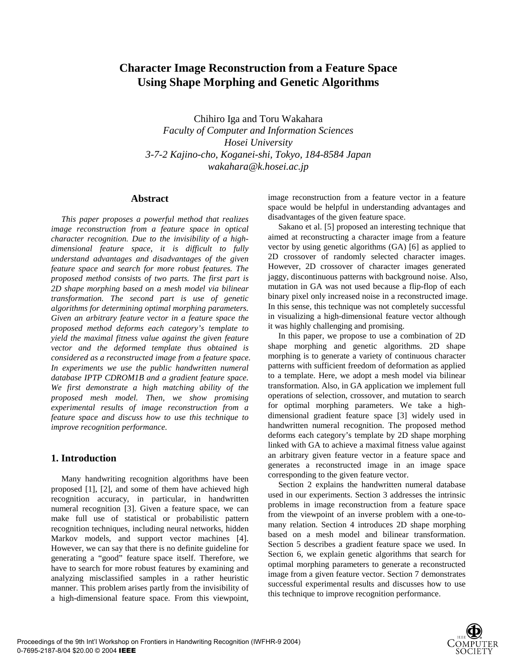# **Character Image Reconstruction from a Feature Space Using Shape Morphing and Genetic Algorithms**

Chihiro Iga and Toru Wakahara *Faculty of Computer and Information Sciences Hosei University 3-7-2 Kajino-cho, Koganei-shi, Tokyo, 184-8584 Japan wakahara@k.hosei.ac.jp* 

## **Abstract**

*This paper proposes a powerful method that realizes image reconstruction from a feature space in optical character recognition. Due to the invisibility of a highdimensional feature space, it is difficult to fully understand advantages and disadvantages of the given feature space and search for more robust features. The proposed method consists of two parts. The first part is 2D shape morphing based on a mesh model via bilinear transformation. The second part is use of genetic algorithms for determining optimal morphing parameters. Given an arbitrary feature vector in a feature space the proposed method deforms each category's template to yield the maximal fitness value against the given feature vector and the deformed template thus obtained is considered as a reconstructed image from a feature space. In experiments we use the public handwritten numeral database IPTP CDROM1B and a gradient feature space. We first demonstrate a high matching ability of the proposed mesh model. Then, we show promising experimental results of image reconstruction from a feature space and discuss how to use this technique to improve recognition performance.* 

# **1. Introduction**

Many handwriting recognition algorithms have been proposed [1], [2], and some of them have achieved high recognition accuracy, in particular, in handwritten numeral recognition [3]. Given a feature space, we can make full use of statistical or probabilistic pattern recognition techniques, including neural networks, hidden Markov models, and support vector machines [4]. However, we can say that there is no definite guideline for generating a "good" feature space itself. Therefore, we have to search for more robust features by examining and analyzing misclassified samples in a rather heuristic manner. This problem arises partly from the invisibility of a high-dimensional feature space. From this viewpoint, image reconstruction from a feature vector in a feature space would be helpful in understanding advantages and disadvantages of the given feature space.

Sakano et al. [5] proposed an interesting technique that aimed at reconstructing a character image from a feature vector by using genetic algorithms (GA) [6] as applied to 2D crossover of randomly selected character images. However, 2D crossover of character images generated jaggy, discontinuous patterns with background noise. Also, mutation in GA was not used because a flip-flop of each binary pixel only increased noise in a reconstructed image. In this sense, this technique was not completely successful in visualizing a high-dimensional feature vector although it was highly challenging and promising.

In this paper, we propose to use a combination of 2D shape morphing and genetic algorithms. 2D shape morphing is to generate a variety of continuous character patterns with sufficient freedom of deformation as applied to a template. Here, we adopt a mesh model via bilinear transformation. Also, in GA application we implement full operations of selection, crossover, and mutation to search for optimal morphing parameters. We take a highdimensional gradient feature space [3] widely used in handwritten numeral recognition. The proposed method deforms each category's template by 2D shape morphing linked with GA to achieve a maximal fitness value against an arbitrary given feature vector in a feature space and generates a reconstructed image in an image space corresponding to the given feature vector.

Section 2 explains the handwritten numeral database used in our experiments. Section 3 addresses the intrinsic problems in image reconstruction from a feature space from the viewpoint of an inverse problem with a one-tomany relation. Section 4 introduces 2D shape morphing based on a mesh model and bilinear transformation. Section 5 describes a gradient feature space we used. In Section 6, we explain genetic algorithms that search for optimal morphing parameters to generate a reconstructed image from a given feature vector. Section 7 demonstrates successful experimental results and discusses how to use this technique to improve recognition performance.

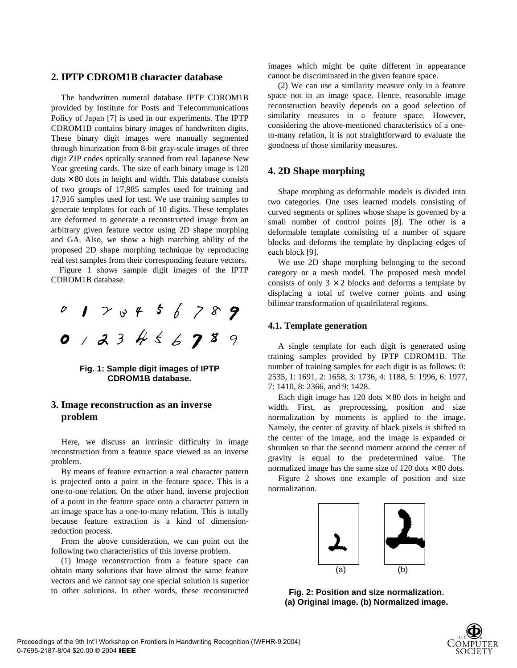## **2. IPTP CDROM1B character database**

The handwritten numeral database IPTP CDROM1B provided by Institute for Posts and Telecommunications Policy of Japan [7] is used in our experiments. The IPTP CDROM1B contains binary images of handwritten digits. These binary digit images were manually segmented through binarization from 8-bit gray-scale images of three digit ZIP codes optically scanned from real Japanese New Year greeting cards. The size of each binary image is 120  $dots \times 80$  dots in height and width. This database consists of two groups of 17,985 samples used for training and 17,916 samples used for test. We use training samples to generate templates for each of 10 digits. These templates are deformed to generate a reconstructed image from an arbitrary given feature vector using 2D shape morphing and GA. Also, we show a high matching ability of the proposed 2D shape morphing technique by reproducing real test samples from their corresponding feature vectors.

Figure 1 shows sample digit images of the IPTP CDROM1B database.



**Fig. 1: Sample digit images of IPTP CDROM1B database.** 

# **3. Image reconstruction as an inverse problem**

Here, we discuss an intrinsic difficulty in image reconstruction from a feature space viewed as an inverse problem.

By means of feature extraction a real character pattern is projected onto a point in the feature space. This is a one-to-one relation. On the other hand, inverse projection of a point in the feature space onto a character pattern in an image space has a one-to-many relation. This is totally because feature extraction is a kind of dimensionreduction process.

From the above consideration, we can point out the following two characteristics of this inverse problem.

(1) Image reconstruction from a feature space can obtain many solutions that have almost the same feature vectors and we cannot say one special solution is superior to other solutions. In other words, these reconstructed images which might be quite different in appearance cannot be discriminated in the given feature space.

(2) We can use a similarity measure only in a feature space not in an image space. Hence, reasonable image reconstruction heavily depends on a good selection of similarity measures in a feature space. However, considering the above-mentioned characteristics of a oneto-many relation, it is not straightforward to evaluate the goodness of those similarity measures.

## **4. 2D Shape morphing**

Shape morphing as deformable models is divided into two categories. One uses learned models consisting of curved segments or splines whose shape is governed by a small number of control points [8]. The other is a deformable template consisting of a number of square blocks and deforms the template by displacing edges of each block [9].

We use 2D shape morphing belonging to the second category or a mesh model. The proposed mesh model consists of only  $3 \times 2$  blocks and deforms a template by displacing a total of twelve corner points and using bilinear transformation of quadrilateral regions.

### **4.1. Template generation**

A single template for each digit is generated using training samples provided by IPTP CDROM1B. The number of training samples for each digit is as follows: 0: 2535, 1: 1691, 2: 1658, 3: 1736, 4: 1188, 5: 1996, 6: 1977, 7: 1410, 8: 2366, and 9: 1428.

Each digit image has 120 dots  $\times$  80 dots in height and width. First, as preprocessing, position and size normalization by moments is applied to the image. Namely, the center of gravity of black pixels is shifted to the center of the image, and the image is expanded or shrunken so that the second moment around the center of gravity is equal to the predetermined value. The normalized image has the same size of  $120$  dots  $\times 80$  dots.

Figure 2 shows one example of position and size normalization.



**Fig. 2: Position and size normalization. (a) Original image. (b) Normalized image.** 

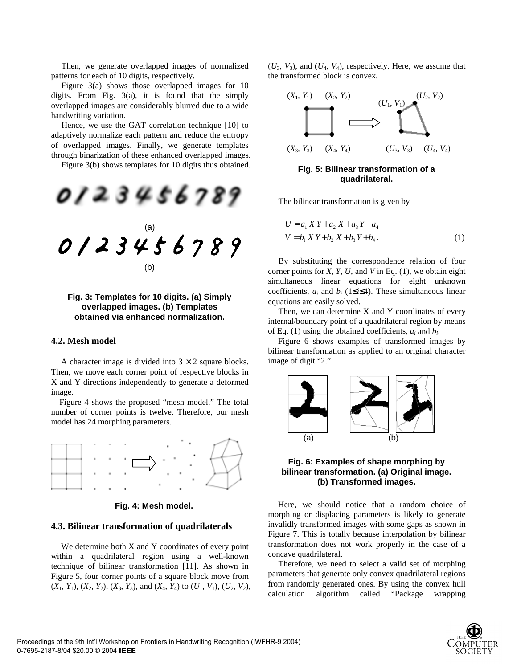Then, we generate overlapped images of normalized patterns for each of 10 digits, respectively.

Figure 3(a) shows those overlapped images for 10 digits. From Fig. 3(a), it is found that the simply overlapped images are considerably blurred due to a wide handwriting variation.

Hence, we use the GAT correlation technique [10] to adaptively normalize each pattern and reduce the entropy of overlapped images. Finally, we generate templates through binarization of these enhanced overlapped images.

Figure 3(b) shows templates for 10 digits thus obtained.



**Fig. 3: Templates for 10 digits. (a) Simply overlapped images. (b) Templates obtained via enhanced normalization.** 

### **4.2. Mesh model**

A character image is divided into  $3 \times 2$  square blocks. Then, we move each corner point of respective blocks in X and Y directions independently to generate a deformed image.

Figure 4 shows the proposed "mesh model." The total number of corner points is twelve. Therefore, our mesh model has 24 morphing parameters.



**Fig. 4: Mesh model.** 

#### **4.3. Bilinear transformation of quadrilaterals**

We determine both X and Y coordinates of every point within a quadrilateral region using a well-known technique of bilinear transformation [11]. As shown in Figure 5, four corner points of a square block move from  $(X_1, Y_1), (X_2, Y_2), (X_3, Y_3)$ , and  $(X_4, Y_4)$  to  $(U_1, V_1), (U_2, V_2)$ ,  $(U_3, V_3)$ , and  $(U_4, V_4)$ , respectively. Here, we assume that the transformed block is convex.



**Fig. 5: Bilinear transformation of a quadrilateral.** 

The bilinear transformation is given by

$$
U = a_1 X Y + a_2 X + a_3 Y + a_4
$$
  
\n
$$
V = b_1 X Y + b_2 X + b_3 Y + b_4.
$$
 (1)

By substituting the correspondence relation of four corner points for *X*, *Y*, *U*, and *V* in Eq. (1), we obtain eight simultaneous linear equations for eight unknown coefficients,  $a_i$  and  $b_i$  (1≤*i*≤4). These simultaneous linear equations are easily solved.

Then, we can determine  $X$  and  $Y$  coordinates of every internal/boundary point of a quadrilateral region by means of Eq. (1) using the obtained coefficients, *ai* and *bi*.

Figure 6 shows examples of transformed images by bilinear transformation as applied to an original character image of digit "2."



## **Fig. 6: Examples of shape morphing by bilinear transformation. (a) Original image. (b) Transformed images.**

Here, we should notice that a random choice of morphing or displacing parameters is likely to generate invalidly transformed images with some gaps as shown in Figure 7. This is totally because interpolation by bilinear transformation does not work properly in the case of a concave quadrilateral.

Therefore, we need to select a valid set of morphing parameters that generate only convex quadrilateral regions from randomly generated ones. By using the convex hull calculation algorithm called "Package wrapping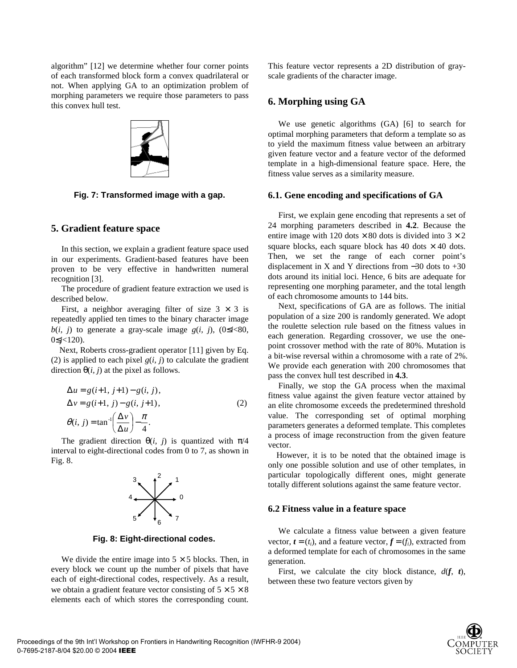algorithm" [12] we determine whether four corner points of each transformed block form a convex quadrilateral or not. When applying GA to an optimization problem of morphing parameters we require those parameters to pass this convex hull test.



**Fig. 7: Transformed image with a gap.** 

## **5. Gradient feature space**

In this section, we explain a gradient feature space used in our experiments. Gradient-based features have been proven to be very effective in handwritten numeral recognition [3].

The procedure of gradient feature extraction we used is described below.

First, a neighbor averaging filter of size  $3 \times 3$  is repeatedly applied ten times to the binary character image *b*(*i, j*) to generate a gray-scale image *g*(*i, j*), (0≤*i*<80, 0≤*j*<120).

Next, Roberts cross-gradient operator [11] given by Eq. (2) is applied to each pixel  $g(i, j)$  to calculate the gradient direction  $\theta(i, j)$  at the pixel as follows.

$$
\Delta u = g(i+1, j+1) - g(i, j),
$$
  
\n
$$
\Delta v = g(i+1, j) - g(i, j+1),
$$
  
\n
$$
\theta(i, j) = \tan^{-1}\left(\frac{\Delta v}{\Delta u}\right) - \frac{\pi}{4}.
$$
\n(2)

The gradient direction  $\theta(i, j)$  is quantized with  $\pi/4$ interval to eight-directional codes from 0 to 7, as shown in Fig. 8.



**Fig. 8: Eight-directional codes.** 

We divide the entire image into  $5 \times 5$  blocks. Then, in every block we count up the number of pixels that have each of eight-directional codes, respectively. As a result, we obtain a gradient feature vector consisting of  $5 \times 5 \times 8$ elements each of which stores the corresponding count.

This feature vector represents a 2D distribution of grayscale gradients of the character image.

## **6. Morphing using GA**

We use genetic algorithms (GA) [6] to search for optimal morphing parameters that deform a template so as to yield the maximum fitness value between an arbitrary given feature vector and a feature vector of the deformed template in a high-dimensional feature space. Here, the fitness value serves as a similarity measure.

### **6.1. Gene encoding and specifications of GA**

First, we explain gene encoding that represents a set of 24 morphing parameters described in **4.2**. Because the entire image with 120 dots  $\times$  80 dots is divided into 3  $\times$  2 square blocks, each square block has  $40$  dots  $\times$   $40$  dots. Then, we set the range of each corner point's displacement in X and Y directions from  $-30$  dots to  $+30$ dots around its initial loci. Hence, 6 bits are adequate for representing one morphing parameter, and the total length of each chromosome amounts to 144 bits.

Next, specifications of GA are as follows. The initial population of a size 200 is randomly generated. We adopt the roulette selection rule based on the fitness values in each generation. Regarding crossover, we use the onepoint crossover method with the rate of 80%. Mutation is a bit-wise reversal within a chromosome with a rate of 2%. We provide each generation with 200 chromosomes that pass the convex hull test described in **4.3**.

Finally, we stop the GA process when the maximal fitness value against the given feature vector attained by an elite chromosome exceeds the predetermined threshold value. The corresponding set of optimal morphing parameters generates a deformed template. This completes a process of image reconstruction from the given feature vector.

However, it is to be noted that the obtained image is only one possible solution and use of other templates, in particular topologically different ones, might generate totally different solutions against the same feature vector.

#### **6.2 Fitness value in a feature space**

We calculate a fitness value between a given feature vector,  $\mathbf{t} = (t_i)$ , and a feature vector,  $\mathbf{f} = (f_i)$ , extracted from a deformed template for each of chromosomes in the same generation.

First, we calculate the city block distance, *d*(*f*, *t*), between these two feature vectors given by

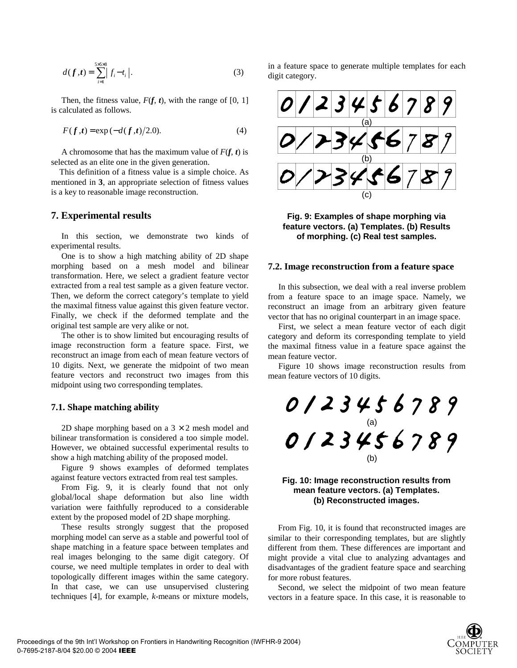$$
d(f,t) = \sum_{i=1}^{5 \times 5 \times 8} |f_i - t_i|.
$$
 (3)

Then, the fitness value,  $F(f, t)$ , with the range of [0, 1] is calculated as follows.

$$
F(f,t) = \exp(-d(f,t)/2.0).
$$
 (4)

A chromosome that has the maximum value of  $F(f, t)$  is selected as an elite one in the given generation.

This definition of a fitness value is a simple choice. As mentioned in **3**, an appropriate selection of fitness values is a key to reasonable image reconstruction.

## **7. Experimental results**

In this section, we demonstrate two kinds of experimental results.

One is to show a high matching ability of 2D shape morphing based on a mesh model and bilinear transformation. Here, we select a gradient feature vector extracted from a real test sample as a given feature vector. Then, we deform the correct category's template to yield the maximal fitness value against this given feature vector. Finally, we check if the deformed template and the original test sample are very alike or not.

The other is to show limited but encouraging results of image reconstruction form a feature space. First, we reconstruct an image from each of mean feature vectors of 10 digits. Next, we generate the midpoint of two mean feature vectors and reconstruct two images from this midpoint using two corresponding templates.

## **7.1. Shape matching ability**

2D shape morphing based on a  $3 \times 2$  mesh model and bilinear transformation is considered a too simple model. However, we obtained successful experimental results to show a high matching ability of the proposed model.

Figure 9 shows examples of deformed templates against feature vectors extracted from real test samples.

From Fig. 9, it is clearly found that not only global/local shape deformation but also line width variation were faithfully reproduced to a considerable extent by the proposed model of 2D shape morphing.

These results strongly suggest that the proposed morphing model can serve as a stable and powerful tool of shape matching in a feature space between templates and real images belonging to the same digit category. Of course, we need multiple templates in order to deal with topologically different images within the same category. In that case, we can use unsupervised clustering techniques [4], for example, *k*-means or mixture models, in a feature space to generate multiple templates for each digit category.



**Fig. 9: Examples of shape morphing via feature vectors. (a) Templates. (b) Results of morphing. (c) Real test samples.** 

#### **7.2. Image reconstruction from a feature space**

In this subsection, we deal with a real inverse problem from a feature space to an image space. Namely, we reconstruct an image from an arbitrary given feature vector that has no original counterpart in an image space.

First, we select a mean feature vector of each digit category and deform its corresponding template to yield the maximal fitness value in a feature space against the mean feature vector.

Figure 10 shows image reconstruction results from mean feature vectors of 10 digits.



## **Fig. 10: Image reconstruction results from mean feature vectors. (a) Templates. (b) Reconstructed images.**

From Fig. 10, it is found that reconstructed images are similar to their corresponding templates, but are slightly different from them. These differences are important and might provide a vital clue to analyzing advantages and disadvantages of the gradient feature space and searching for more robust features.

Second, we select the midpoint of two mean feature vectors in a feature space. In this case, it is reasonable to